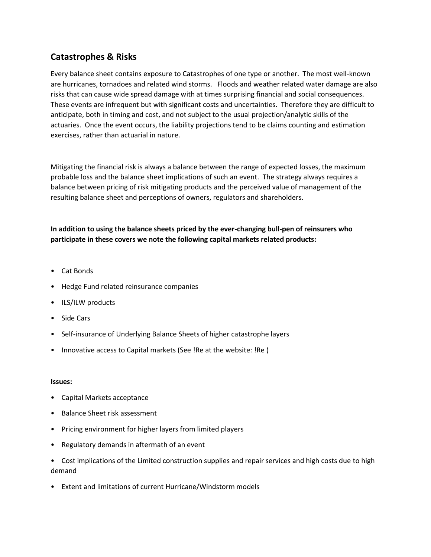## **Catastrophes & Risks**

Every balance sheet contains exposure to Catastrophes of one type or another. The most well-known are hurricanes, tornadoes and related wind storms. Floods and weather related water damage are also risks that can cause wide spread damage with at times surprising financial and social consequences. These events are infrequent but with significant costs and uncertainties. Therefore they are difficult to anticipate, both in timing and cost, and not subject to the usual projection/analytic skills of the actuaries. Once the event occurs, the liability projections tend to be claims counting and estimation exercises, rather than actuarial in nature.

Mitigating the financial risk is always a balance between the range of expected losses, the maximum probable loss and the balance sheet implications of such an event. The strategy always requires a balance between pricing of risk mitigating products and the perceived value of management of the resulting balance sheet and perceptions of owners, regulators and shareholders.

## **In addition to using the balance sheets priced by the ever-changing bull-pen of reinsurers who participate in these covers we note the following capital markets related products:**

- Cat Bonds
- Hedge Fund related reinsurance companies
- ILS/ILW products
- Side Cars
- Self-insurance of Underlying Balance Sheets of higher catastrophe layers
- Innovative access to Capital markets (See !Re at the website: !Re )

## **Issues:**

- Capital Markets acceptance
- Balance Sheet risk assessment
- Pricing environment for higher layers from limited players
- Regulatory demands in aftermath of an event
- Cost implications of the Limited construction supplies and repair services and high costs due to high demand
- Extent and limitations of current Hurricane/Windstorm models